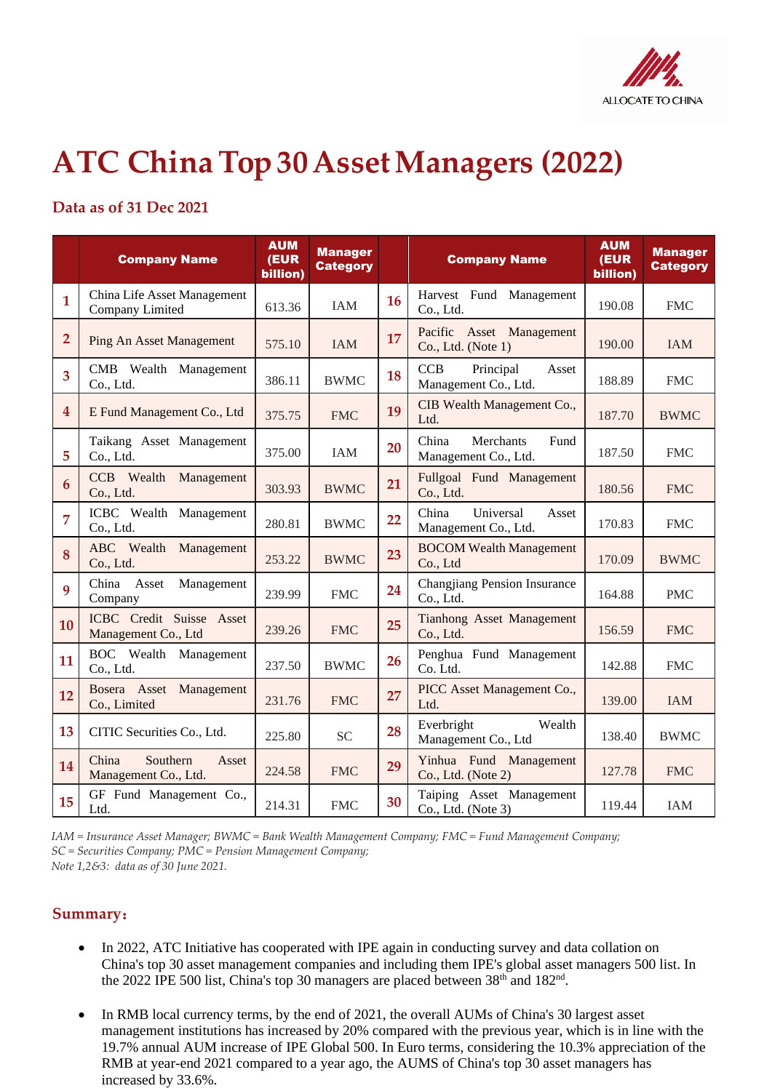

## **ATC ChinaTop 30AssetManagers (2022)**

## **Data as of 31 Dec 2021**

|                         | <b>Company Name</b>                                | <b>AUM</b><br>(EUR<br>billion) | <b>Manager</b><br><b>Category</b> |    | <b>Company Name</b>                                      | <b>AUM</b><br>(EUR<br>billion) | <b>Manager</b><br><b>Category</b> |
|-------------------------|----------------------------------------------------|--------------------------------|-----------------------------------|----|----------------------------------------------------------|--------------------------------|-----------------------------------|
| $\mathbf{1}$            | China Life Asset Management<br>Company Limited     | 613.36                         | <b>IAM</b>                        | 16 | Harvest Fund Management<br>Co., Ltd.                     | 190.08                         | <b>FMC</b>                        |
| $\overline{2}$          | <b>Ping An Asset Management</b>                    | 575.10                         | <b>IAM</b>                        | 17 | Pacific Asset Management<br>Co., Ltd. (Note 1)           | 190.00                         | <b>IAM</b>                        |
| 3                       | CMB Wealth Management<br>Co., Ltd.                 | 386.11                         | <b>BWMC</b>                       | 18 | <b>CCB</b><br>Principal<br>Asset<br>Management Co., Ltd. | 188.89                         | <b>FMC</b>                        |
| $\overline{\mathbf{4}}$ | E Fund Management Co., Ltd                         | 375.75                         | <b>FMC</b>                        | 19 | CIB Wealth Management Co.,<br>Ltd.                       | 187.70                         | <b>BWMC</b>                       |
| 5                       | Taikang Asset Management<br>Co., Ltd.              | 375.00                         | <b>IAM</b>                        | 20 | China<br>Merchants<br>Fund<br>Management Co., Ltd.       | 187.50                         | <b>FMC</b>                        |
| 6                       | <b>CCB</b> Wealth Management<br>Co., Ltd.          | 303.93                         | <b>BWMC</b>                       | 21 | Fullgoal Fund Management<br>Co., Ltd.                    | 180.56                         | <b>FMC</b>                        |
| 7                       | ICBC Wealth Management<br>Co., Ltd.                | 280.81                         | <b>BWMC</b>                       | 22 | Universal<br>China<br>Asset<br>Management Co., Ltd.      | 170.83                         | <b>FMC</b>                        |
| 8                       | ABC Wealth Management<br>Co., Ltd.                 | 253.22                         | <b>BWMC</b>                       | 23 | <b>BOCOM Wealth Management</b><br>Co., Ltd               | 170.09                         | <b>BWMC</b>                       |
| 9                       | China Asset<br>Management<br>Company               | 239.99                         | <b>FMC</b>                        | 24 | <b>Changjiang Pension Insurance</b><br>Co., Ltd.         | 164.88                         | <b>PMC</b>                        |
| 10                      | ICBC Credit Suisse Asset<br>Management Co., Ltd    | 239.26                         | <b>FMC</b>                        | 25 | Tianhong Asset Management<br>Co., Ltd.                   | 156.59                         | <b>FMC</b>                        |
| 11                      | BOC Wealth Management<br>Co., Ltd.                 | 237.50                         | <b>BWMC</b>                       | 26 | Penghua Fund Management<br>Co. Ltd.                      | 142.88                         | <b>FMC</b>                        |
| 12                      | Bosera Asset Management<br>Co., Limited            | 231.76                         | <b>FMC</b>                        | 27 | PICC Asset Management Co.,<br>Ltd.                       | 139.00                         | <b>IAM</b>                        |
| 13                      | CITIC Securities Co., Ltd.                         | 225.80                         | <b>SC</b>                         | 28 | Everbright<br>Wealth<br>Management Co., Ltd              | 138.40                         | <b>BWMC</b>                       |
| 14                      | China<br>Southern<br>Asset<br>Management Co., Ltd. | 224.58                         | <b>FMC</b>                        | 29 | Yinhua Fund Management<br>Co., Ltd. (Note 2)             | 127.78                         | <b>FMC</b>                        |
| 15                      | GF Fund Management Co.,<br>Ltd.                    | 214.31                         | <b>FMC</b>                        | 30 | Taiping Asset Management<br>Co., Ltd. (Note 3)           | 119.44                         | <b>IAM</b>                        |

*IAM = Insurance Asset Manager; BWMC = Bank Wealth Management Company; FMC = Fund Management Company; SC = Securities Company; PMC = Pension Management Company; Note 1,2&3: data as of 30 June 2021.* 

## **Summary**:

- In 2022, ATC Initiative has cooperated with IPE again in conducting survey and data collation on China's top 30 asset management companies and including them IPE's global asset managers 500 list. In the 2022 IPE 500 list, China's top 30 managers are placed between 38<sup>th</sup> and 182<sup>nd</sup>.
- In RMB local currency terms, by the end of 2021, the overall AUMs of China's 30 largest asset management institutions has increased by 20% compared with the previous year, which is in line with the 19.7% annual AUM increase of IPE Global 500. In Euro terms, considering the 10.3% appreciation of the RMB at year-end 2021 compared to a year ago, the AUMS of China's top 30 asset managers has increased by 33.6%.